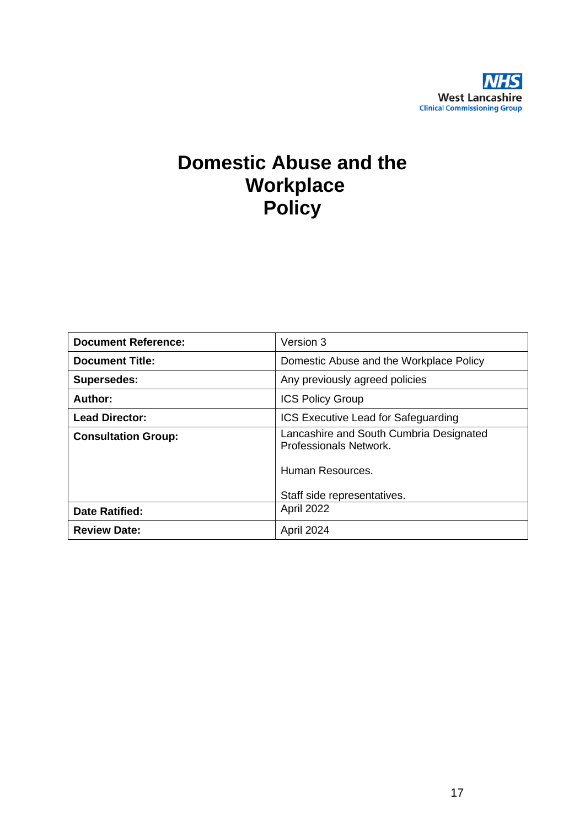

# **Domestic Abuse and the Workplace Policy**

| <b>Document Reference:</b> | Version 3                                                               |
|----------------------------|-------------------------------------------------------------------------|
| <b>Document Title:</b>     | Domestic Abuse and the Workplace Policy                                 |
| <b>Supersedes:</b>         | Any previously agreed policies                                          |
| Author:                    | <b>ICS Policy Group</b>                                                 |
| <b>Lead Director:</b>      | <b>ICS Executive Lead for Safeguarding</b>                              |
| <b>Consultation Group:</b> | Lancashire and South Cumbria Designated<br><b>Professionals Network</b> |
|                            | Human Resources.                                                        |
|                            | Staff side representatives.                                             |
| <b>Date Ratified:</b>      | April 2022                                                              |
| <b>Review Date:</b>        | April 2024                                                              |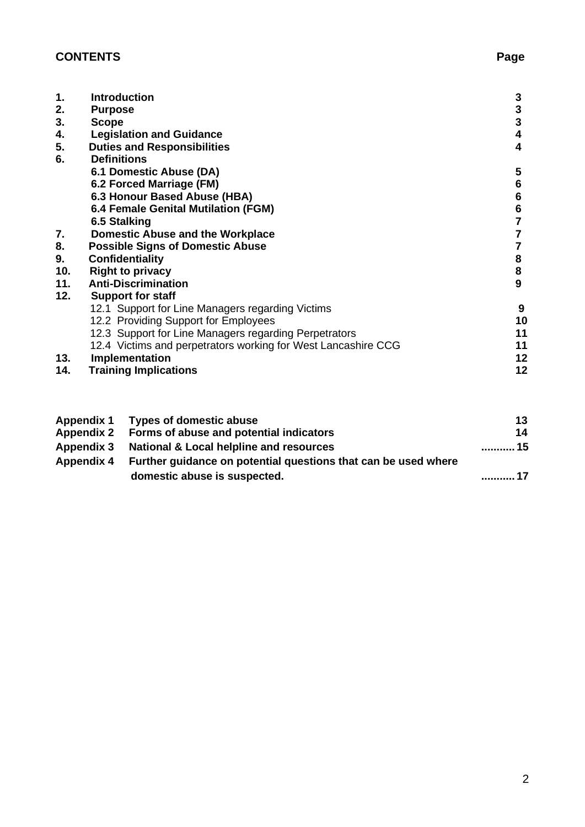# **CONTENTS** Page

| 1.  | <b>Introduction</b>                                           | 3  |
|-----|---------------------------------------------------------------|----|
| 2.  | <b>Purpose</b>                                                | 3  |
| 3.  | <b>Scope</b>                                                  | 3  |
| 4.  | <b>Legislation and Guidance</b>                               | 4  |
| 5.  | <b>Duties and Responsibilities</b>                            | 4  |
| 6.  | <b>Definitions</b>                                            |    |
|     | 6.1 Domestic Abuse (DA)                                       | 5  |
|     | 6.2 Forced Marriage (FM)                                      | 6  |
|     | 6.3 Honour Based Abuse (HBA)                                  | 6  |
|     | 6.4 Female Genital Mutilation (FGM)                           | 6  |
|     | 6.5 Stalking                                                  |    |
| 7.  | <b>Domestic Abuse and the Workplace</b>                       |    |
| 8.  | <b>Possible Signs of Domestic Abuse</b>                       |    |
| 9.  | Confidentiality                                               | 8  |
| 10. | <b>Right to privacy</b>                                       | 8  |
| 11. | <b>Anti-Discrimination</b>                                    | 9  |
| 12. | <b>Support for staff</b>                                      |    |
|     | 12.1 Support for Line Managers regarding Victims              | 9  |
|     | 12.2 Providing Support for Employees                          | 10 |
|     | 12.3 Support for Line Managers regarding Perpetrators         | 11 |
|     | 12.4 Victims and perpetrators working for West Lancashire CCG | 11 |
| 13. | Implementation                                                | 12 |
| 14. | <b>Training Implications</b>                                  | 12 |
|     |                                                               |    |

| Appendix 1 Types of domestic abuse                                        | 13   |
|---------------------------------------------------------------------------|------|
| Appendix 2 Forms of abuse and potential indicators                        | 14   |
| Appendix 3 National & Local helpline and resources                        | . 15 |
| Appendix 4 Further guidance on potential questions that can be used where |      |
| domestic abuse is suspected.                                              | . 17 |
|                                                                           |      |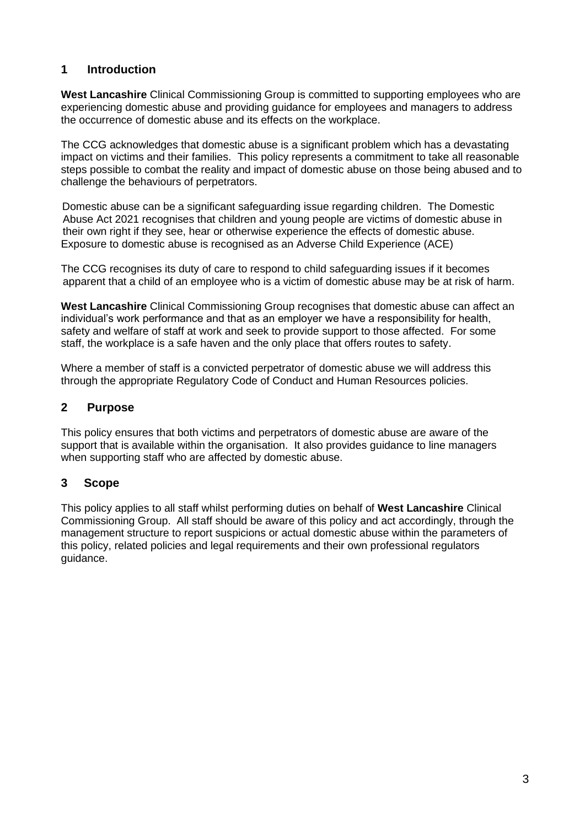# **1 Introduction**

**West Lancashire** Clinical Commissioning Group is committed to supporting employees who are experiencing domestic abuse and providing guidance for employees and managers to address the occurrence of domestic abuse and its effects on the workplace.

The CCG acknowledges that domestic abuse is a significant problem which has a devastating impact on victims and their families. This policy represents a commitment to take all reasonable steps possible to combat the reality and impact of domestic abuse on those being abused and to challenge the behaviours of perpetrators.

Domestic abuse can be a significant safeguarding issue regarding children. The Domestic Abuse Act 2021 recognises that children and young people are victims of domestic abuse in their own right if they see, hear or otherwise experience the effects of domestic abuse. Exposure to domestic abuse is recognised as an Adverse Child Experience (ACE)

The CCG recognises its duty of care to respond to child safeguarding issues if it becomes apparent that a child of an employee who is a victim of domestic abuse may be at risk of harm.

**West Lancashire** Clinical Commissioning Group recognises that domestic abuse can affect an individual's work performance and that as an employer we have a responsibility for health, safety and welfare of staff at work and seek to provide support to those affected. For some staff, the workplace is a safe haven and the only place that offers routes to safety.

Where a member of staff is a convicted perpetrator of domestic abuse we will address this through the appropriate Regulatory Code of Conduct and Human Resources policies.

## **2 Purpose**

This policy ensures that both victims and perpetrators of domestic abuse are aware of the support that is available within the organisation. It also provides guidance to line managers when supporting staff who are affected by domestic abuse.

# **3 Scope**

This policy applies to all staff whilst performing duties on behalf of **West Lancashire** Clinical Commissioning Group. All staff should be aware of this policy and act accordingly, through the management structure to report suspicions or actual domestic abuse within the parameters of this policy, related policies and legal requirements and their own professional regulators guidance.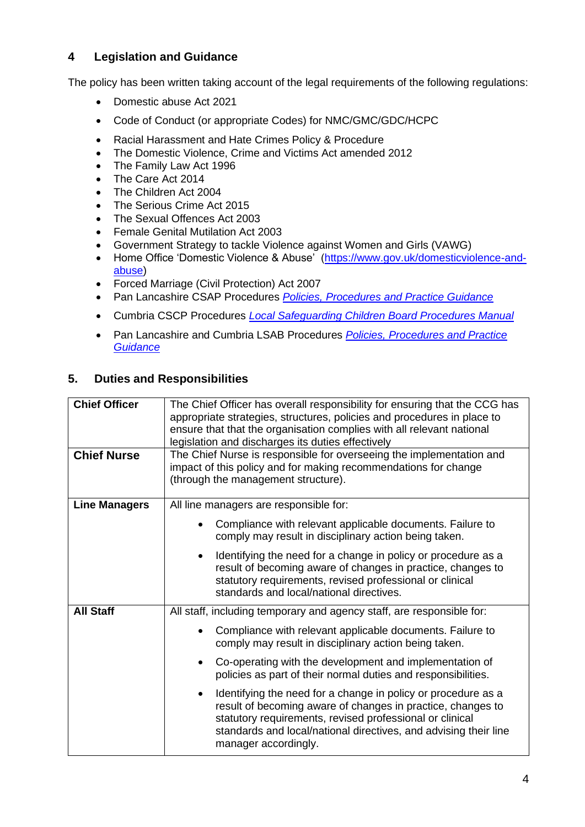# **4 Legislation and Guidance**

The policy has been written taking account of the legal requirements of the following regulations:

- Domestic abuse Act 2021
- Code of Conduct (or appropriate Codes) for NMC/GMC/GDC/HCPC
- Racial Harassment and Hate Crimes Policy & Procedure
- The Domestic Violence, Crime and Victims Act amended 2012
- The Family Law Act 1996
- The Care Act 2014
- The Children Act 2004
- The Serious Crime Act 2015
- The Sexual Offences Act 2003
- Female Genital Mutilation Act 2003
- Government Strategy to tackle Violence against Women and Girls (VAWG)
- Home Office 'Domestic Violence & Abuse' [\(https://www.gov.uk/domesticviolence-and](https://www.gov.uk/domesticviolence-and-abuse)[abuse\)](https://www.gov.uk/domesticviolence-and-abuse)
- Forced Marriage (Civil Protection) Act 2007
- Pan Lancashire CSAP Procedures *[Policies, Procedures and Practice Guidance](http://panlancashirescb.proceduresonline.com/)*
- Cumbria CSCP Procedures *[Local Safeguarding Children Board Procedures Manual](http://cumbrialscb.proceduresonline.com/)*
- Pan Lancashire and Cumbria LSAB Procedures *[Policies, Procedures and Practice](http://www.cumbria.gov.uk/elibrary/Content/Internet/327/949/4321410555.pdf)  [Guidance](http://www.cumbria.gov.uk/elibrary/Content/Internet/327/949/4321410555.pdf)*

# **5. Duties and Responsibilities**

| <b>Chief Officer</b><br><b>Chief Nurse</b> | The Chief Officer has overall responsibility for ensuring that the CCG has<br>appropriate strategies, structures, policies and procedures in place to<br>ensure that that the organisation complies with all relevant national<br>legislation and discharges its duties effectively<br>The Chief Nurse is responsible for overseeing the implementation and<br>impact of this policy and for making recommendations for change<br>(through the management structure). |  |
|--------------------------------------------|-----------------------------------------------------------------------------------------------------------------------------------------------------------------------------------------------------------------------------------------------------------------------------------------------------------------------------------------------------------------------------------------------------------------------------------------------------------------------|--|
| <b>Line Managers</b>                       | All line managers are responsible for:                                                                                                                                                                                                                                                                                                                                                                                                                                |  |
|                                            | Compliance with relevant applicable documents. Failure to<br>comply may result in disciplinary action being taken.                                                                                                                                                                                                                                                                                                                                                    |  |
|                                            | Identifying the need for a change in policy or procedure as a<br>$\bullet$<br>result of becoming aware of changes in practice, changes to<br>statutory requirements, revised professional or clinical<br>standards and local/national directives.                                                                                                                                                                                                                     |  |
| <b>All Staff</b>                           | All staff, including temporary and agency staff, are responsible for:                                                                                                                                                                                                                                                                                                                                                                                                 |  |
|                                            | Compliance with relevant applicable documents. Failure to<br>comply may result in disciplinary action being taken.                                                                                                                                                                                                                                                                                                                                                    |  |
|                                            | Co-operating with the development and implementation of<br>$\bullet$<br>policies as part of their normal duties and responsibilities.                                                                                                                                                                                                                                                                                                                                 |  |
|                                            | Identifying the need for a change in policy or procedure as a<br>$\bullet$<br>result of becoming aware of changes in practice, changes to<br>statutory requirements, revised professional or clinical<br>standards and local/national directives, and advising their line<br>manager accordingly.                                                                                                                                                                     |  |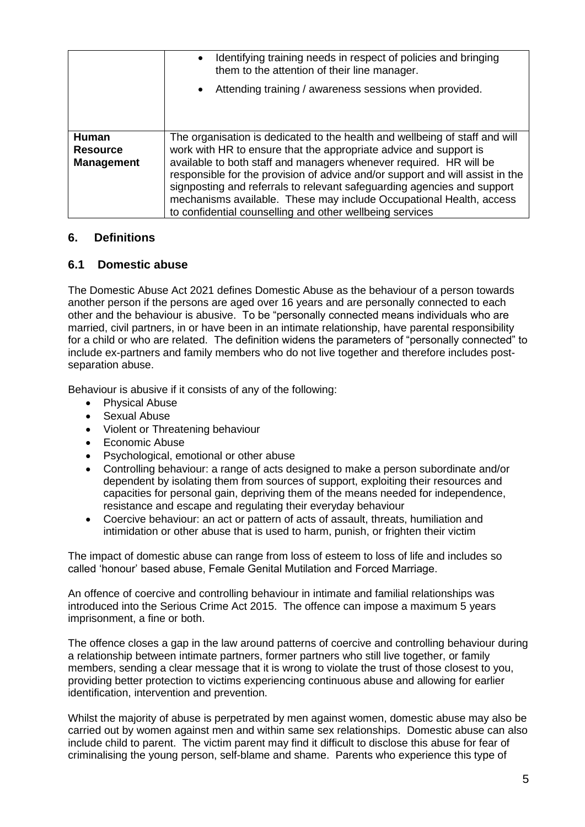|                                                      | Identifying training needs in respect of policies and bringing<br>$\bullet$<br>them to the attention of their line manager.<br>Attending training / awareness sessions when provided.<br>$\bullet$                                                                                                                                                                                                                                                                                                                    |  |
|------------------------------------------------------|-----------------------------------------------------------------------------------------------------------------------------------------------------------------------------------------------------------------------------------------------------------------------------------------------------------------------------------------------------------------------------------------------------------------------------------------------------------------------------------------------------------------------|--|
| <b>Human</b><br><b>Resource</b><br><b>Management</b> | The organisation is dedicated to the health and wellbeing of staff and will<br>work with HR to ensure that the appropriate advice and support is<br>available to both staff and managers whenever required. HR will be<br>responsible for the provision of advice and/or support and will assist in the<br>signposting and referrals to relevant safeguarding agencies and support<br>mechanisms available. These may include Occupational Health, access<br>to confidential counselling and other wellbeing services |  |

# **6. Definitions**

# **6.1 Domestic abuse**

The Domestic Abuse Act 2021 defines Domestic Abuse as the behaviour of a person towards another person if the persons are aged over 16 years and are personally connected to each other and the behaviour is abusive. To be "personally connected means individuals who are married, civil partners, in or have been in an intimate relationship, have parental responsibility for a child or who are related. The definition widens the parameters of "personally connected" to include ex-partners and family members who do not live together and therefore includes postseparation abuse.

Behaviour is abusive if it consists of any of the following:

- Physical Abuse
- Sexual Abuse
- Violent or Threatening behaviour
- Economic Abuse
- Psychological, emotional or other abuse
- Controlling behaviour: a range of acts designed to make a person subordinate and/or dependent by isolating them from sources of support, exploiting their resources and capacities for personal gain, depriving them of the means needed for independence, resistance and escape and regulating their everyday behaviour
- Coercive behaviour: an act or pattern of acts of assault, threats, humiliation and intimidation or other abuse that is used to harm, punish, or frighten their victim

The impact of domestic abuse can range from loss of esteem to loss of life and includes so called 'honour' based abuse, Female Genital Mutilation and Forced Marriage.

An offence of coercive and controlling behaviour in intimate and familial relationships was introduced into the Serious Crime Act 2015. The offence can impose a maximum 5 years imprisonment, a fine or both.

The offence closes a gap in the law around patterns of coercive and controlling behaviour during a relationship between intimate partners, former partners who still live together, or family members, sending a clear message that it is wrong to violate the trust of those closest to you, providing better protection to victims experiencing continuous abuse and allowing for earlier identification, intervention and prevention.

Whilst the majority of abuse is perpetrated by men against women, domestic abuse may also be carried out by women against men and within same sex relationships. Domestic abuse can also include child to parent. The victim parent may find it difficult to disclose this abuse for fear of criminalising the young person, self-blame and shame. Parents who experience this type of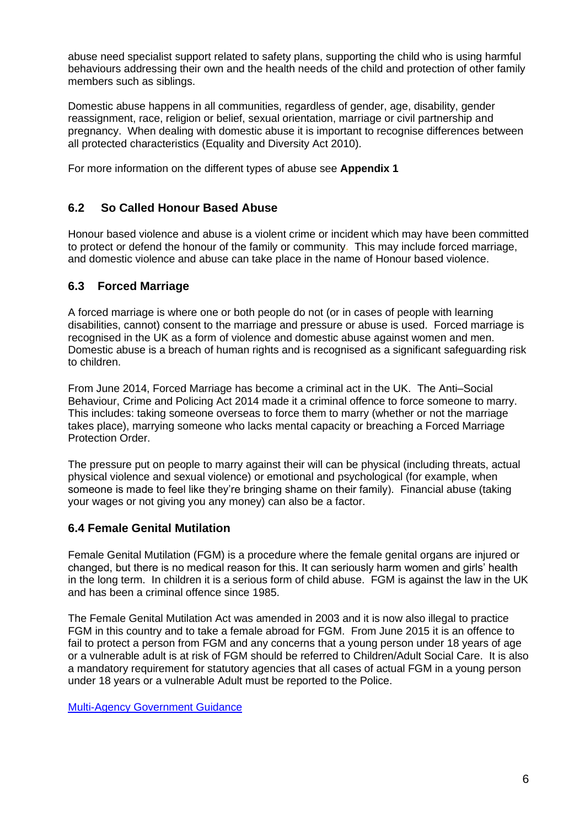abuse need specialist support related to safety plans, supporting the child who is using harmful behaviours addressing their own and the health needs of the child and protection of other family members such as siblings.

Domestic abuse happens in all communities, regardless of gender, age, disability, gender reassignment, race, religion or belief, sexual orientation, marriage or civil partnership and pregnancy. When dealing with domestic abuse it is important to recognise differences between all protected characteristics (Equality and Diversity Act 2010).

For more information on the different types of abuse see **Appendix 1**

# **6.2 So Called Honour Based Abuse**

Honour based violence and abuse is a violent crime or incident which may have been committed to protect or defend the honour of the family or community**.** This may include forced marriage, and domestic violence and abuse can take place in the name of Honour based violence.

# **6.3 Forced Marriage**

A forced marriage is where one or both people do not (or in cases of people with learning disabilities, cannot) consent to the marriage and pressure or abuse is used. Forced marriage is recognised in the UK as a form of violence and domestic abuse against women and men. Domestic abuse is a breach of human rights and is recognised as a significant safeguarding risk to children.

From June 2014, Forced Marriage has become a criminal act in the UK. The Anti–Social Behaviour, Crime and Policing Act 2014 made it a criminal offence to force someone to marry. This includes: taking someone overseas to force them to marry (whether or not the marriage takes place), marrying someone who lacks mental capacity or breaching a Forced Marriage Protection Order.

The pressure put on people to marry against their will can be physical (including threats, actual physical violence and sexual violence) or emotional and psychological (for example, when someone is made to feel like they're bringing shame on their family). Financial abuse (taking your wages or not giving you any money) can also be a factor.

# **6.4 Female Genital Mutilation**

Female Genital Mutilation (FGM) is a procedure where the female genital organs are injured or changed, but there is no medical reason for this. It can seriously harm women and girls' health in the long term. In children it is a serious form of child abuse. FGM is against the law in the UK and has been a criminal offence since 1985.

The Female Genital Mutilation Act was amended in 2003 and it is now also illegal to practice FGM in this country and to take a female abroad for FGM. From June 2015 it is an offence to fail to protect a person from FGM and any concerns that a young person under 18 years of age or a vulnerable adult is at risk of FGM should be referred to Children/Adult Social Care. It is also a mandatory requirement for statutory agencies that all cases of actual FGM in a young person under 18 years or a vulnerable Adult must be reported to the Police.

[Multi-Agency Government Guidance](https://assets.publishing.service.gov.uk/government/uploads/system/uploads/attachment_data/file/1016817/6.7166_HO_FBIS_BN_O__Leaflet_A4_FINAL_080321_WEB.pdf)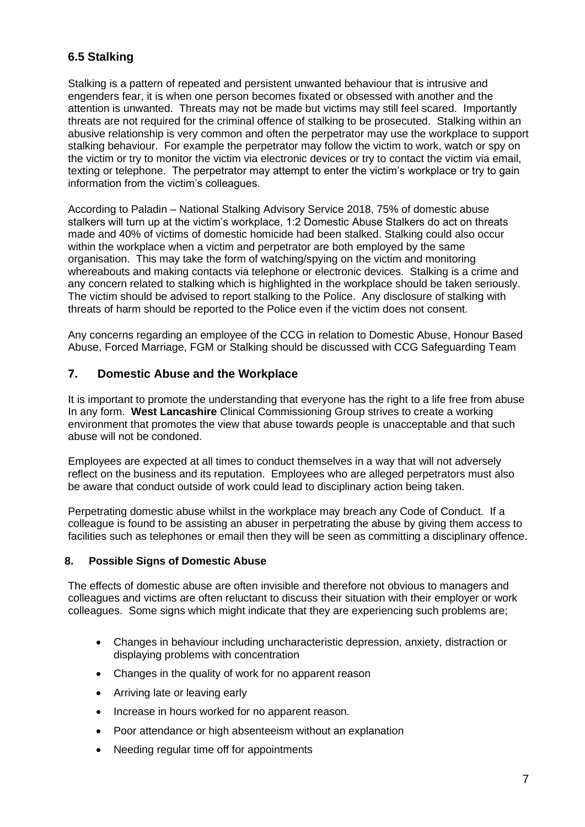# **6.5 Stalking**

Stalking is a pattern of repeated and persistent unwanted behaviour that is intrusive and engenders fear, it is when one person becomes fixated or obsessed with another and the attention is unwanted. Threats may not be made but victims may still feel scared. Importantly threats are not required for the criminal offence of stalking to be prosecuted. Stalking within an abusive relationship is very common and often the perpetrator may use the workplace to support stalking behaviour. For example the perpetrator may follow the victim to work, watch or spy on the victim or try to monitor the victim via electronic devices or try to contact the victim via email, texting or telephone. The perpetrator may attempt to enter the victim's workplace or try to gain information from the victim's colleagues.

According to Paladin – National Stalking Advisory Service 2018, 75% of domestic abuse stalkers will turn up at the victim's workplace, 1:2 Domestic Abuse Stalkers do act on threats made and 40% of victims of domestic homicide had been stalked. Stalking could also occur within the workplace when a victim and perpetrator are both employed by the same organisation. This may take the form of watching/spying on the victim and monitoring whereabouts and making contacts via telephone or electronic devices. Stalking is a crime and any concern related to stalking which is highlighted in the workplace should be taken seriously. The victim should be advised to report stalking to the Police. Any disclosure of stalking with threats of harm should be reported to the Police even if the victim does not consent.

Any concerns regarding an employee of the CCG in relation to Domestic Abuse, Honour Based Abuse, Forced Marriage, FGM or Stalking should be discussed with CCG Safeguarding Team

# **7. Domestic Abuse and the Workplace**

It is important to promote the understanding that everyone has the right to a life free from abuse In any form. **West Lancashire** Clinical Commissioning Group strives to create a working environment that promotes the view that abuse towards people is unacceptable and that such abuse will not be condoned.

Employees are expected at all times to conduct themselves in a way that will not adversely reflect on the business and its reputation. Employees who are alleged perpetrators must also be aware that conduct outside of work could lead to disciplinary action being taken.

Perpetrating domestic abuse whilst in the workplace may breach any Code of Conduct. If a colleague is found to be assisting an abuser in perpetrating the abuse by giving them access to facilities such as telephones or email then they will be seen as committing a disciplinary offence.

# **8. Possible Signs of Domestic Abuse**

The effects of domestic abuse are often invisible and therefore not obvious to managers and colleagues and victims are often reluctant to discuss their situation with their employer or work colleagues. Some signs which might indicate that they are experiencing such problems are;

- Changes in behaviour including uncharacteristic depression, anxiety, distraction or displaying problems with concentration
- Changes in the quality of work for no apparent reason
- Arriving late or leaving early
- Increase in hours worked for no apparent reason.
- Poor attendance or high absenteeism without an explanation
- Needing regular time off for appointments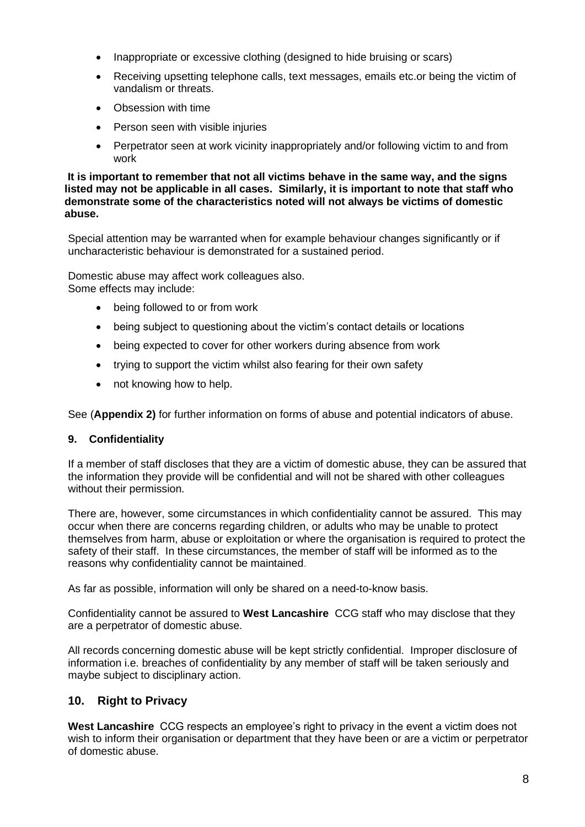- Inappropriate or excessive clothing (designed to hide bruising or scars)
- Receiving upsetting telephone calls, text messages, emails etc.or being the victim of vandalism or threats.
- Obsession with time
- Person seen with visible injuries
- Perpetrator seen at work vicinity inappropriately and/or following victim to and from work

**It is important to remember that not all victims behave in the same way, and the signs listed may not be applicable in all cases. Similarly, it is important to note that staff who demonstrate some of the characteristics noted will not always be victims of domestic abuse.** 

Special attention may be warranted when for example behaviour changes significantly or if uncharacteristic behaviour is demonstrated for a sustained period.

Domestic abuse may affect work colleagues also. Some effects may include:

- being followed to or from work
- being subject to questioning about the victim's contact details or locations
- being expected to cover for other workers during absence from work
- trying to support the victim whilst also fearing for their own safety
- not knowing how to help.

See (**Appendix 2)** for further information on forms of abuse and potential indicators of abuse.

# **9. Confidentiality**

If a member of staff discloses that they are a victim of domestic abuse, they can be assured that the information they provide will be confidential and will not be shared with other colleagues without their permission.

There are, however, some circumstances in which confidentiality cannot be assured. This may occur when there are concerns regarding children, or adults who may be unable to protect themselves from harm, abuse or exploitation or where the organisation is required to protect the safety of their staff. In these circumstances, the member of staff will be informed as to the reasons why confidentiality cannot be maintained.

As far as possible, information will only be shared on a need-to-know basis.

Confidentiality cannot be assured to **West Lancashire** CCG staff who may disclose that they are a perpetrator of domestic abuse.

All records concerning domestic abuse will be kept strictly confidential. Improper disclosure of information i.e. breaches of confidentiality by any member of staff will be taken seriously and maybe subject to disciplinary action.

# **10. Right to Privacy**

**West Lancashire** CCG respects an employee's right to privacy in the event a victim does not wish to inform their organisation or department that they have been or are a victim or perpetrator of domestic abuse.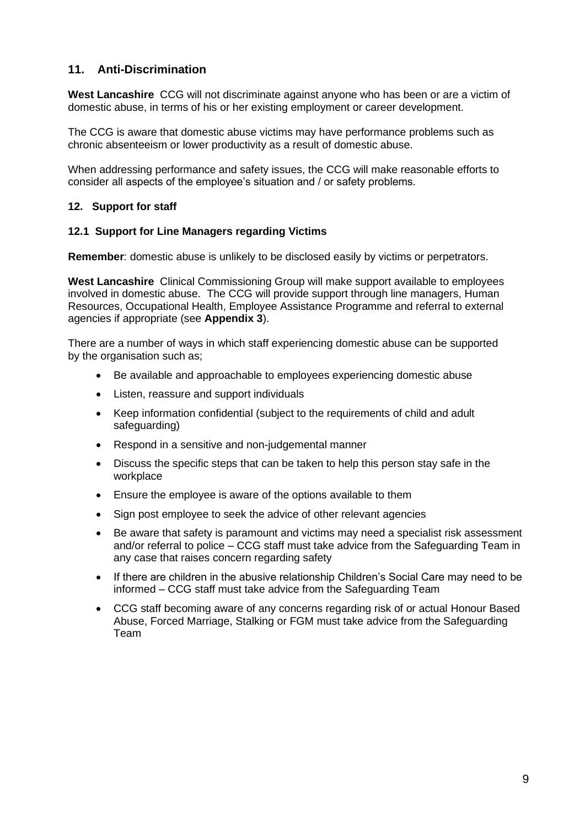# **11. Anti-Discrimination**

**West Lancashire** CCG will not discriminate against anyone who has been or are a victim of domestic abuse, in terms of his or her existing employment or career development.

The CCG is aware that domestic abuse victims may have performance problems such as chronic absenteeism or lower productivity as a result of domestic abuse.

When addressing performance and safety issues, the CCG will make reasonable efforts to consider all aspects of the employee's situation and / or safety problems.

## **12. Support for staff**

## **12.1 Support for Line Managers regarding Victims**

**Remember**: domestic abuse is unlikely to be disclosed easily by victims or perpetrators.

**West Lancashire** Clinical Commissioning Group will make support available to employees involved in domestic abuse. The CCG will provide support through line managers, Human Resources, Occupational Health, Employee Assistance Programme and referral to external agencies if appropriate (see **Appendix 3**).

There are a number of ways in which staff experiencing domestic abuse can be supported by the organisation such as;

- Be available and approachable to employees experiencing domestic abuse
- Listen, reassure and support individuals
- Keep information confidential (subject to the requirements of child and adult safeguarding)
- Respond in a sensitive and non-judgemental manner
- Discuss the specific steps that can be taken to help this person stay safe in the workplace
- Ensure the employee is aware of the options available to them
- Sign post employee to seek the advice of other relevant agencies
- Be aware that safety is paramount and victims may need a specialist risk assessment and/or referral to police – CCG staff must take advice from the Safeguarding Team in any case that raises concern regarding safety
- If there are children in the abusive relationship Children's Social Care may need to be informed – CCG staff must take advice from the Safeguarding Team
- CCG staff becoming aware of any concerns regarding risk of or actual Honour Based Abuse, Forced Marriage, Stalking or FGM must take advice from the Safeguarding Team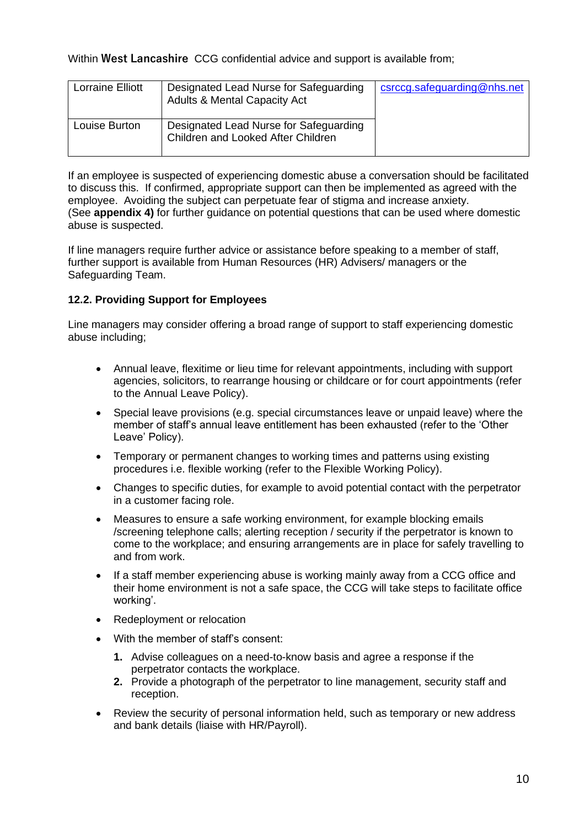| <b>Lorraine Elliott</b> | Designated Lead Nurse for Safeguarding<br><b>Adults &amp; Mental Capacity Act</b> | csrccg.safeguarding@nhs.net |
|-------------------------|-----------------------------------------------------------------------------------|-----------------------------|
| Louise Burton           | Designated Lead Nurse for Safeguarding<br>Children and Looked After Children      |                             |

If an employee is suspected of experiencing domestic abuse a conversation should be facilitated to discuss this. If confirmed, appropriate support can then be implemented as agreed with the employee. Avoiding the subject can perpetuate fear of stigma and increase anxiety. (See **appendix 4)** for further guidance on potential questions that can be used where domestic abuse is suspected.

If line managers require further advice or assistance before speaking to a member of staff, further support is available from Human Resources (HR) Advisers/ managers or the Safeguarding Team.

# **12.2. Providing Support for Employees**

Line managers may consider offering a broad range of support to staff experiencing domestic abuse including;

- Annual leave, flexitime or lieu time for relevant appointments, including with support agencies, solicitors, to rearrange housing or childcare or for court appointments (refer to the Annual Leave Policy).
- Special leave provisions (e.g. special circumstances leave or unpaid leave) where the member of staff's annual leave entitlement has been exhausted (refer to the 'Other Leave' Policy).
- Temporary or permanent changes to working times and patterns using existing procedures i.e. flexible working (refer to the Flexible Working Policy).
- Changes to specific duties, for example to avoid potential contact with the perpetrator in a customer facing role.
- Measures to ensure a safe working environment, for example blocking emails /screening telephone calls; alerting reception / security if the perpetrator is known to come to the workplace; and ensuring arrangements are in place for safely travelling to and from work.
- If a staff member experiencing abuse is working mainly away from a CCG office and their home environment is not a safe space, the CCG will take steps to facilitate office working'.
- Redeployment or relocation
- With the member of staff's consent:
	- **1.** Advise colleagues on a need-to-know basis and agree a response if the perpetrator contacts the workplace.
	- **2.** Provide a photograph of the perpetrator to line management, security staff and reception.
- Review the security of personal information held, such as temporary or new address and bank details (liaise with HR/Payroll).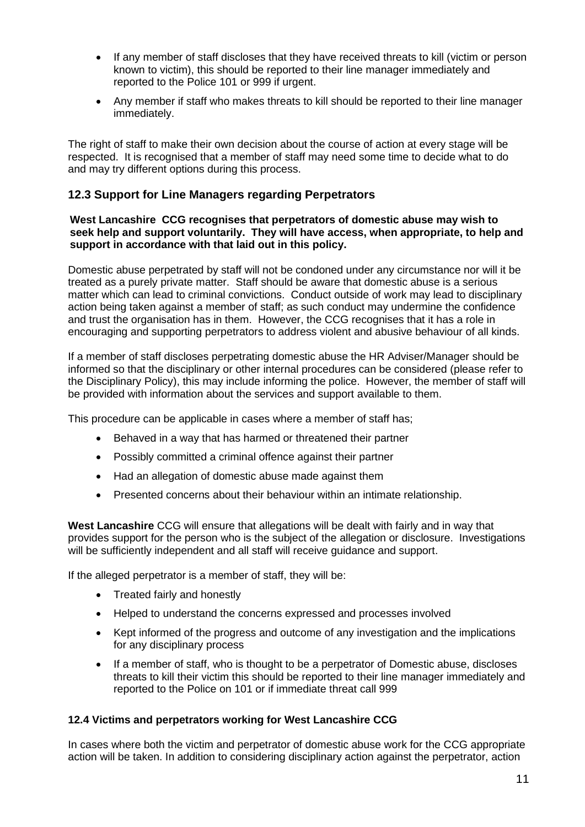- If any member of staff discloses that they have received threats to kill (victim or person known to victim), this should be reported to their line manager immediately and reported to the Police 101 or 999 if urgent.
- Any member if staff who makes threats to kill should be reported to their line manager immediately.

The right of staff to make their own decision about the course of action at every stage will be respected. It is recognised that a member of staff may need some time to decide what to do and may try different options during this process.

# **12.3 Support for Line Managers regarding Perpetrators**

#### **West Lancashire CCG recognises that perpetrators of domestic abuse may wish to seek help and support voluntarily. They will have access, when appropriate, to help and support in accordance with that laid out in this policy.**

Domestic abuse perpetrated by staff will not be condoned under any circumstance nor will it be treated as a purely private matter. Staff should be aware that domestic abuse is a serious matter which can lead to criminal convictions. Conduct outside of work may lead to disciplinary action being taken against a member of staff; as such conduct may undermine the confidence and trust the organisation has in them. However, the CCG recognises that it has a role in encouraging and supporting perpetrators to address violent and abusive behaviour of all kinds.

If a member of staff discloses perpetrating domestic abuse the HR Adviser/Manager should be informed so that the disciplinary or other internal procedures can be considered (please refer to the Disciplinary Policy), this may include informing the police. However, the member of staff will be provided with information about the services and support available to them.

This procedure can be applicable in cases where a member of staff has;

- Behaved in a way that has harmed or threatened their partner
- Possibly committed a criminal offence against their partner
- Had an allegation of domestic abuse made against them
- Presented concerns about their behaviour within an intimate relationship.

**West Lancashire** CCG will ensure that allegations will be dealt with fairly and in way that provides support for the person who is the subject of the allegation or disclosure. Investigations will be sufficiently independent and all staff will receive guidance and support.

If the alleged perpetrator is a member of staff, they will be:

- Treated fairly and honestly
- Helped to understand the concerns expressed and processes involved
- Kept informed of the progress and outcome of any investigation and the implications for any disciplinary process
- If a member of staff, who is thought to be a perpetrator of Domestic abuse, discloses threats to kill their victim this should be reported to their line manager immediately and reported to the Police on 101 or if immediate threat call 999

### **12.4 Victims and perpetrators working for West Lancashire CCG**

In cases where both the victim and perpetrator of domestic abuse work for the CCG appropriate action will be taken. In addition to considering disciplinary action against the perpetrator, action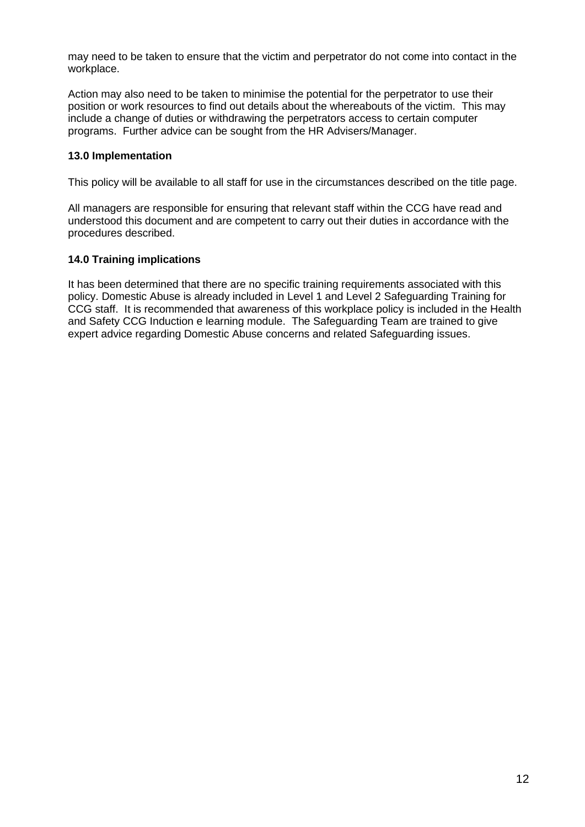may need to be taken to ensure that the victim and perpetrator do not come into contact in the workplace.

Action may also need to be taken to minimise the potential for the perpetrator to use their position or work resources to find out details about the whereabouts of the victim. This may include a change of duties or withdrawing the perpetrators access to certain computer programs. Further advice can be sought from the HR Advisers/Manager.

## **13.0 Implementation**

This policy will be available to all staff for use in the circumstances described on the title page.

All managers are responsible for ensuring that relevant staff within the CCG have read and understood this document and are competent to carry out their duties in accordance with the procedures described.

## **14.0 Training implications**

It has been determined that there are no specific training requirements associated with this policy. Domestic Abuse is already included in Level 1 and Level 2 Safeguarding Training for CCG staff. It is recommended that awareness of this workplace policy is included in the Health and Safety CCG Induction e learning module. The Safeguarding Team are trained to give expert advice regarding Domestic Abuse concerns and related Safeguarding issues.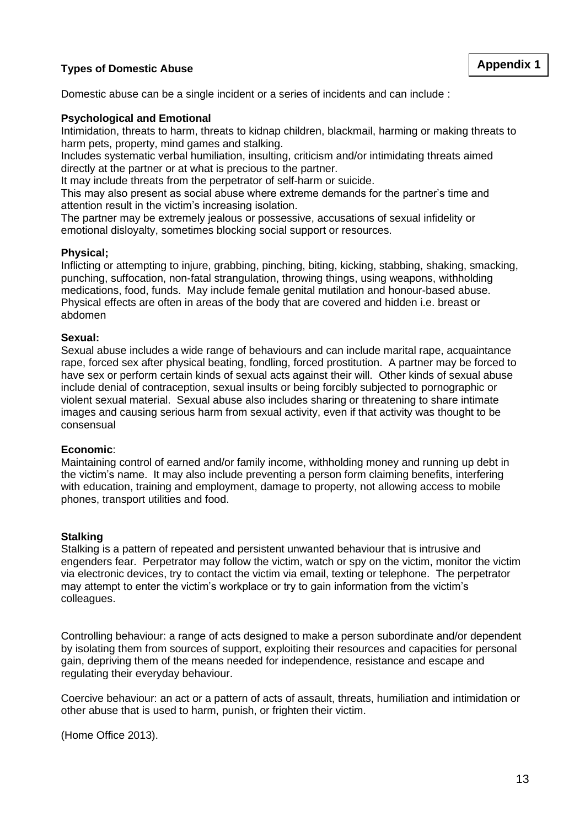# **Types of Domestic Abuse**

Domestic abuse can be a single incident or a series of incidents and can include :

#### **Psychological and Emotional**

Intimidation, threats to harm, threats to kidnap children, blackmail, harming or making threats to harm pets, property, mind games and stalking.

Includes systematic verbal humiliation, insulting, criticism and/or intimidating threats aimed directly at the partner or at what is precious to the partner.

It may include threats from the perpetrator of self-harm or suicide.

This may also present as social abuse where extreme demands for the partner's time and attention result in the victim's increasing isolation.

The partner may be extremely jealous or possessive, accusations of sexual infidelity or emotional disloyalty, sometimes blocking social support or resources.

#### **Physical;**

Inflicting or attempting to injure, grabbing, pinching, biting, kicking, stabbing, shaking, smacking, punching, suffocation, non-fatal strangulation, throwing things, using weapons, withholding medications, food, funds. May include female genital mutilation and honour-based abuse. Physical effects are often in areas of the body that are covered and hidden i.e. breast or abdomen

#### **Sexual:**

Sexual abuse includes a wide range of behaviours and can include marital rape, acquaintance rape, forced sex after physical beating, fondling, forced prostitution. A partner may be forced to have sex or perform certain kinds of sexual acts against their will. Other kinds of sexual abuse include denial of contraception, sexual insults or being forcibly subjected to pornographic or violent sexual material. Sexual abuse also includes sharing or threatening to share intimate images and causing serious harm from sexual activity, even if that activity was thought to be consensual

#### **Economic**:

Maintaining control of earned and/or family income, withholding money and running up debt in the victim's name. It may also include preventing a person form claiming benefits, interfering with education, training and employment, damage to property, not allowing access to mobile phones, transport utilities and food.

#### **Stalking**

Stalking is a pattern of repeated and persistent unwanted behaviour that is intrusive and engenders fear. Perpetrator may follow the victim, watch or spy on the victim, monitor the victim via electronic devices, try to contact the victim via email, texting or telephone. The perpetrator may attempt to enter the victim's workplace or try to gain information from the victim's colleagues.

Controlling behaviour: a range of acts designed to make a person subordinate and/or dependent by isolating them from sources of support, exploiting their resources and capacities for personal gain, depriving them of the means needed for independence, resistance and escape and regulating their everyday behaviour.

Coercive behaviour: an act or a pattern of acts of assault, threats, humiliation and intimidation or other abuse that is used to harm, punish, or frighten their victim.

(Home Office 2013).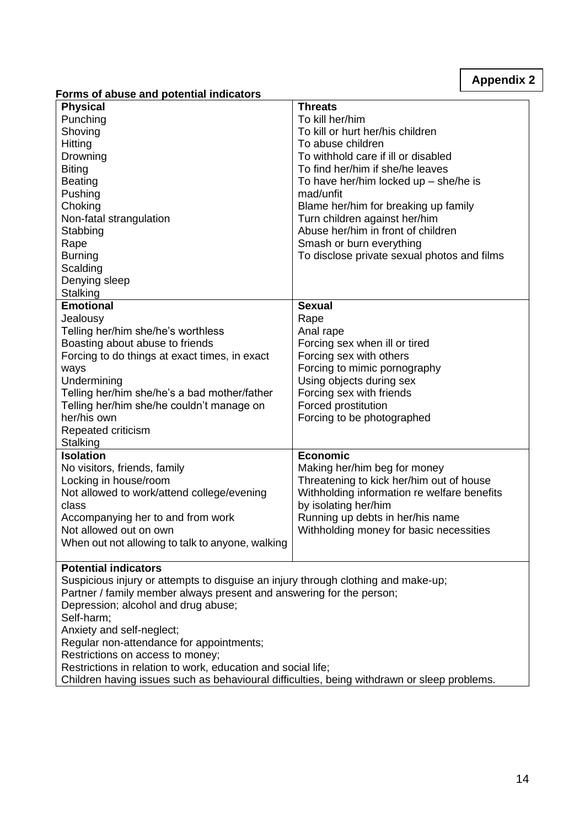# **Appendix 2**

| Forms of abuse and potential indicators       |                                             |
|-----------------------------------------------|---------------------------------------------|
| <b>Physical</b>                               | <b>Threats</b>                              |
| Punching                                      | To kill her/him                             |
| Shoving                                       | To kill or hurt her/his children            |
| Hitting                                       | To abuse children                           |
| Drowning                                      | To withhold care if ill or disabled         |
| <b>Biting</b>                                 | To find her/him if she/he leaves            |
| Beating                                       | To have her/him locked up $-$ she/he is     |
| Pushing                                       | mad/unfit                                   |
| Choking                                       | Blame her/him for breaking up family        |
| Non-fatal strangulation                       | Turn children against her/him               |
| Stabbing                                      | Abuse her/him in front of children          |
| Rape                                          | Smash or burn everything                    |
| <b>Burning</b>                                | To disclose private sexual photos and films |
| Scalding                                      |                                             |
| Denying sleep                                 |                                             |
| Stalking                                      |                                             |
| <b>Emotional</b>                              | <b>Sexual</b>                               |
| Jealousy                                      | Rape                                        |
| Telling her/him she/he's worthless            | Anal rape                                   |
| Boasting about abuse to friends               | Forcing sex when ill or tired               |
| Forcing to do things at exact times, in exact | Forcing sex with others                     |
| ways                                          | Forcing to mimic pornography                |
| Undermining                                   | Using objects during sex                    |
| Telling her/him she/he's a bad mother/father  | Forcing sex with friends                    |
| Telling her/him she/he couldn't manage on     | Forced prostitution                         |
| her/his own                                   | Forcing to be photographed                  |
| Repeated criticism                            |                                             |
| <b>Stalking</b>                               |                                             |

**Stalking Isolation** No visitors, friends, family Locking in house/room Not allowed to work/attend college/evening class Accompanying her to and from work Not allowed out on own When out not allowing to talk to anyone, walking **Economic** Making her/him beg for money Threatening to kick her/him out of house Withholding information re welfare benefits by isolating her/him Running up debts in her/his name Withholding money for basic necessities

## **Potential indicators**

Suspicious injury or attempts to disguise an injury through clothing and make-up; Partner / family member always present and answering for the person; Depression; alcohol and drug abuse; Self-harm; Anxiety and self-neglect; Regular non-attendance for appointments; Restrictions on access to money; Restrictions in relation to work, education and social life; Children having issues such as behavioural difficulties, being withdrawn or sleep problems.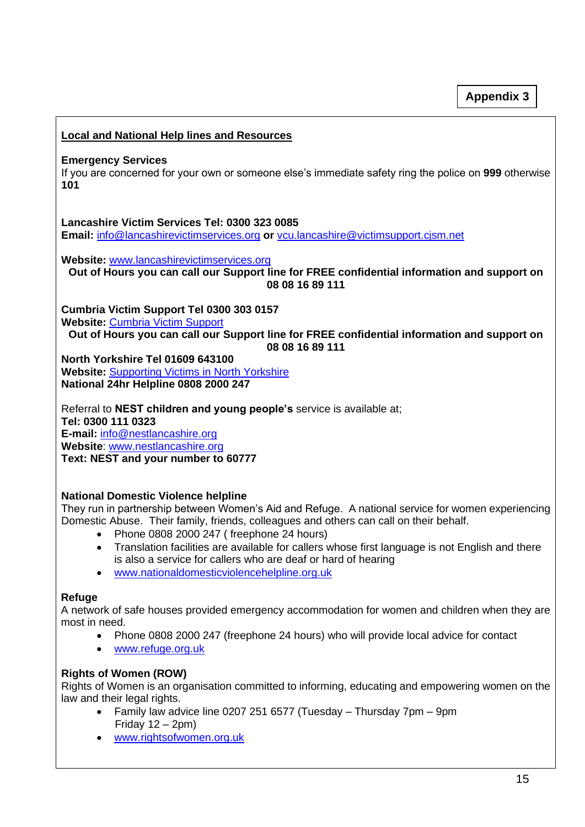## **Local and National Help lines and Resources**

#### **Emergency Services**

If you are concerned for your own or someone else's immediate safety ring the police on **999** otherwise **101**

**Lancashire Victim Services Tel: 0300 323 0085** 

**Email:** [info@lancashirevictimservices.org](mailto:info@lancashirevictimservices.org) **or** [vcu.lancashire@victimsupport.cjsm.net](mailto:vcu.lancashire@victimsupport.cjsm.net)

**Website:** [www.lancashirevictimservices.org](http://www.lancashirevictimservices.org/)

**Out of Hours you can call our Support line for FREE confidential information and support on 08 08 16 89 111**

**Cumbria Victim Support Tel 0300 303 0157 Website:** [Cumbria Victim Support](https://www.victimsupport.org.uk/resources/cumbria/)

**Out of Hours you can call our Support line for FREE confidential information and support on 08 08 16 89 111**

**North Yorkshire Tel 01609 643100 Website:** [Supporting Victims in](https://www.supportingvictims.org/support-services/domestic-abuse/) North Yorkshire **National 24hr Helpline 0808 2000 247** 

Referral to **NEST children and young people's** service is available at; **Tel: 0300 111 0323 E-mail:** [info@nestlancashire.org](mailto:info@nestlancashire.org) **Website**: [www.nestlancashire.org](http://www.nestlancashire.org/)

**Text: NEST and your number to 60777**

### **National Domestic Violence helpline**

They run in partnership between Women's Aid and Refuge. A national service for women experiencing Domestic Abuse. Their family, friends, colleagues and others can call on their behalf.

- Phone 0808 2000 247 (freephone 24 hours)
- Translation facilities are available for callers whose first language is not English and there is also a service for callers who are deaf or hard of hearing
- [www.nationaldomesticviolencehelpline.org.uk](https://www.nationaldahelpline.org.uk/)

### **Refuge**

A network of safe houses provided emergency accommodation for women and children when they are most in need.

- Phone 0808 2000 247 (freephone 24 hours) who will provide local advice for contact
- [www.refuge.org.uk](http://www.refuge.org.uk/)

### **Rights of Women (ROW)**

Rights of Women is an organisation committed to informing, educating and empowering women on the law and their legal rights.

- Family law advice line 0207 251 6577 (Tuesday Thursday 7pm 9pm Friday 12 – 2pm)
- [www.rightsofwomen.org.uk](http://www.rightsofwomen.org.uk/)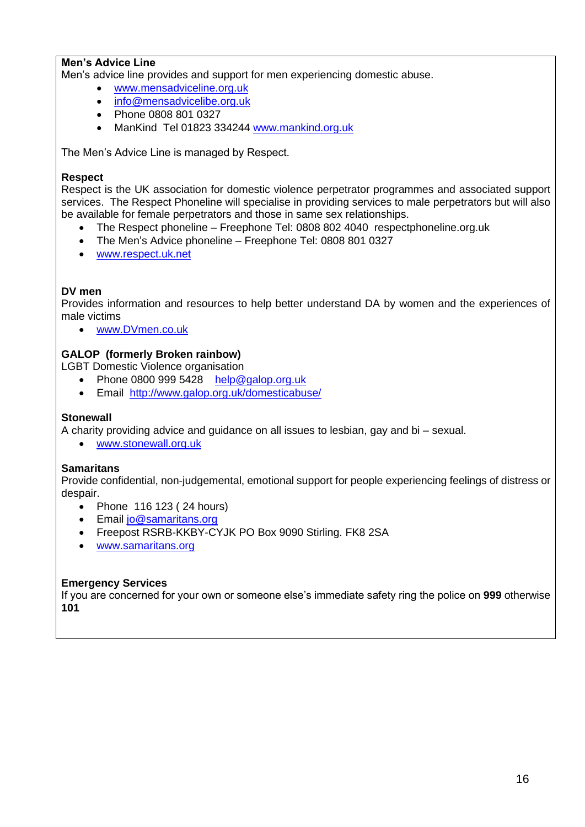# **Men's Advice Line**

Men's advice line provides and support for men experiencing domestic abuse.

- [www.mensadviceline.org.uk](http://www.mensadviceline.org.uk/)
- [info@mensadvicelibe.org.uk](mailto:info@mensadvicelibe.org.uk)
- Phone 0808 801 0327
- ManKind Tel 01823 334244 [www.mankind.org.uk](file://///canlrli-vlnccg2/Users/Lorraine.Mackie/My%20Documents/POLICY%20WORKSTREAM/For%20Review/www.mankind.org.uk)

The Men's Advice Line is managed by Respect.

### **Respect**

Respect is the UK association for domestic violence perpetrator programmes and associated support services. The Respect Phoneline will specialise in providing services to male perpetrators but will also be available for female perpetrators and those in same sex relationships.

- The Respect phoneline Freephone Tel: 0808 802 4040 respectphoneline.org.uk
- The Men's Advice phoneline Freephone Tel: 0808 801 0327
- [www.respect.uk.net](http://www.respect.uk.net/)

## **DV men**

Provides information and resources to help better understand DA by women and the experiences of male victims

• [www.DVmen.co.uk](http://www.dvmen.co.uk/)

# **GALOP (formerly Broken rainbow)**

LGBT Domestic Violence organisation

- Phone 0800 999 5428 [help@galop.org.uk](mailto:help@galop.org.uk)
- Email <http://www.galop.org.uk/domesticabuse/>

## **Stonewall**

A charity providing advice and guidance on all issues to lesbian, gay and bi – sexual.

• [www.stonewall.org.uk](http://www.stonewall.org.uk/)

### **Samaritans**

Provide confidential, non-judgemental, emotional support for people experiencing feelings of distress or despair.

- Phone 116 123 ( 24 hours)
- Email [jo@samaritans.org](mailto:jo@samaritans.org)
- Freepost RSRB-KKBY-CYJK PO Box 9090 Stirling. FK8 2SA
- [www.samaritans.org](http://www.samaritans.org/)

### **Emergency Services**

If you are concerned for your own or someone else's immediate safety ring the police on **999** otherwise **101**